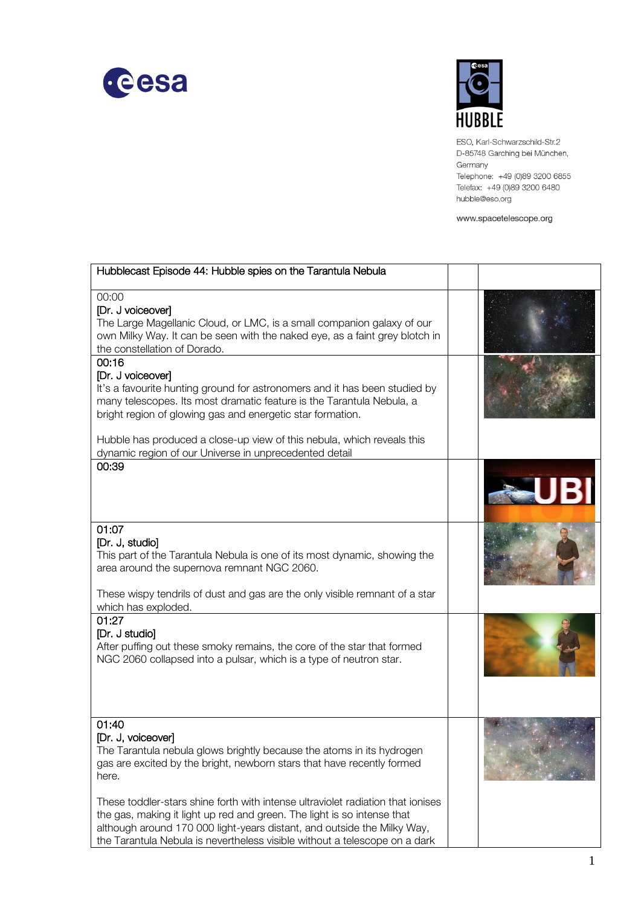



ESO, Karl-Schwarzschild-Str.2 D-85748 Garching bei München, Germany Telephone: +49 (0)89 3200 6855 Telefax: +49 (0)89 3200 6480 hubble@eso.org

www.spacetelescope.org

| Hubblecast Episode 44: Hubble spies on the Tarantula Nebula                                                                                                                                                                                                                                                               |  |
|---------------------------------------------------------------------------------------------------------------------------------------------------------------------------------------------------------------------------------------------------------------------------------------------------------------------------|--|
| 00:00<br>[Dr. J voiceover]<br>The Large Magellanic Cloud, or LMC, is a small companion galaxy of our<br>own Milky Way. It can be seen with the naked eye, as a faint grey blotch in<br>the constellation of Dorado.                                                                                                       |  |
| 00:16<br>[Dr. J voiceover]<br>It's a favourite hunting ground for astronomers and it has been studied by<br>many telescopes. Its most dramatic feature is the Tarantula Nebula, a<br>bright region of glowing gas and energetic star formation.<br>Hubble has produced a close-up view of this nebula, which reveals this |  |
| dynamic region of our Universe in unprecedented detail<br>00:39                                                                                                                                                                                                                                                           |  |
| 01:07<br>[Dr. J, studio]<br>This part of the Tarantula Nebula is one of its most dynamic, showing the<br>area around the supernova remnant NGC 2060.<br>These wispy tendrils of dust and gas are the only visible remnant of a star<br>which has exploded.                                                                |  |
| 01:27<br>[Dr. J studio]<br>After puffing out these smoky remains, the core of the star that formed<br>NGC 2060 collapsed into a pulsar, which is a type of neutron star.                                                                                                                                                  |  |
| 01:40<br>[Dr. J, voiceover]<br>The Tarantula nebula glows brightly because the atoms in its hydrogen<br>gas are excited by the bright, newborn stars that have recently formed<br>here.                                                                                                                                   |  |
| These toddler-stars shine forth with intense ultraviolet radiation that ionises<br>the gas, making it light up red and green. The light is so intense that<br>although around 170 000 light-years distant, and outside the Milky Way,<br>the Tarantula Nebula is nevertheless visible without a telescope on a dark       |  |